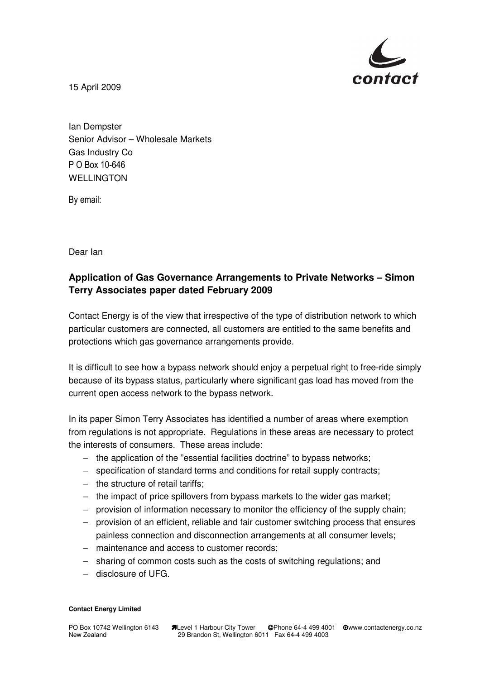

15 April 2009

Ian Dempster Senior Advisor – Wholesale Markets Gas Industry Co P O Box 10-646 WELLINGTON

By email:

Dear Ian

## **Application of Gas Governance Arrangements to Private Networks – Simon Terry Associates paper dated February 2009**

Contact Energy is of the view that irrespective of the type of distribution network to which particular customers are connected, all customers are entitled to the same benefits and protections which gas governance arrangements provide.

It is difficult to see how a bypass network should enjoy a perpetual right to free-ride simply because of its bypass status, particularly where significant gas load has moved from the current open access network to the bypass network.

In its paper Simon Terry Associates has identified a number of areas where exemption from regulations is not appropriate. Regulations in these areas are necessary to protect the interests of consumers. These areas include:

- − the application of the "essential facilities doctrine" to bypass networks;
- − specification of standard terms and conditions for retail supply contracts;
- − the structure of retail tariffs;
- − the impact of price spillovers from bypass markets to the wider gas market;
- − provision of information necessary to monitor the efficiency of the supply chain;
- − provision of an efficient, reliable and fair customer switching process that ensures painless connection and disconnection arrangements at all consumer levels;
- − maintenance and access to customer records;
- − sharing of common costs such as the costs of switching regulations; and
- − disclosure of UFG.

## **Contact Energy Limited**